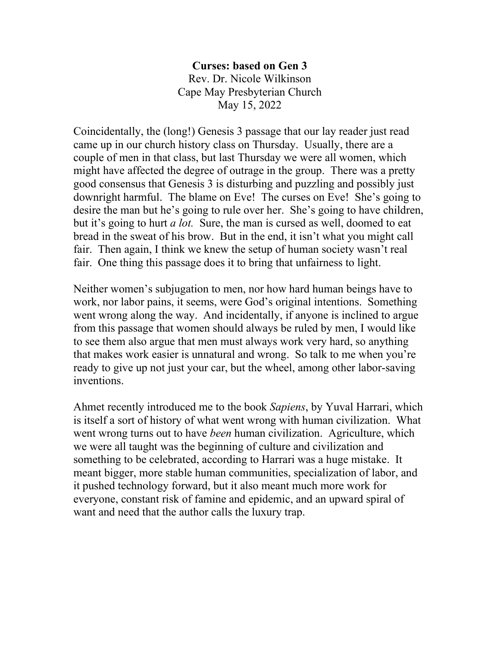**Curses: based on Gen 3** Rev. Dr. Nicole Wilkinson Cape May Presbyterian Church May 15, 2022

Coincidentally, the (long!) Genesis 3 passage that our lay reader just read came up in our church history class on Thursday. Usually, there are a couple of men in that class, but last Thursday we were all women, which might have affected the degree of outrage in the group. There was a pretty good consensus that Genesis 3 is disturbing and puzzling and possibly just downright harmful. The blame on Eve! The curses on Eve! She's going to desire the man but he's going to rule over her. She's going to have children, but it's going to hurt *a lot.* Sure, the man is cursed as well, doomed to eat bread in the sweat of his brow. But in the end, it isn't what you might call fair. Then again, I think we knew the setup of human society wasn't real fair. One thing this passage does it to bring that unfairness to light.

Neither women's subjugation to men, nor how hard human beings have to work, nor labor pains, it seems, were God's original intentions. Something went wrong along the way. And incidentally, if anyone is inclined to argue from this passage that women should always be ruled by men, I would like to see them also argue that men must always work very hard, so anything that makes work easier is unnatural and wrong. So talk to me when you're ready to give up not just your car, but the wheel, among other labor-saving inventions.

Ahmet recently introduced me to the book *Sapiens*, by Yuval Harrari, which is itself a sort of history of what went wrong with human civilization. What went wrong turns out to have *been* human civilization. Agriculture, which we were all taught was the beginning of culture and civilization and something to be celebrated, according to Harrari was a huge mistake. It meant bigger, more stable human communities, specialization of labor, and it pushed technology forward, but it also meant much more work for everyone, constant risk of famine and epidemic, and an upward spiral of want and need that the author calls the luxury trap.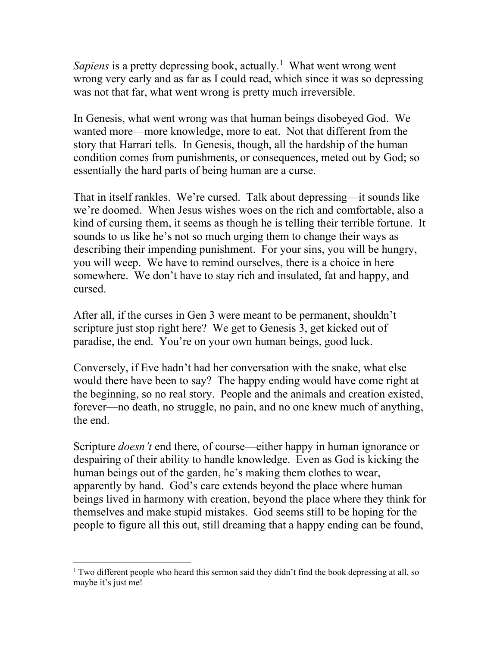Sapiens is a pretty depressing book, actually.<sup>[1](#page-1-0)</sup> What went wrong went wrong very early and as far as I could read, which since it was so depressing was not that far, what went wrong is pretty much irreversible.

In Genesis, what went wrong was that human beings disobeyed God. We wanted more—more knowledge, more to eat. Not that different from the story that Harrari tells. In Genesis, though, all the hardship of the human condition comes from punishments, or consequences, meted out by God; so essentially the hard parts of being human are a curse.

That in itself rankles. We're cursed. Talk about depressing—it sounds like we're doomed. When Jesus wishes woes on the rich and comfortable, also a kind of cursing them, it seems as though he is telling their terrible fortune. It sounds to us like he's not so much urging them to change their ways as describing their impending punishment. For your sins, you will be hungry, you will weep. We have to remind ourselves, there is a choice in here somewhere. We don't have to stay rich and insulated, fat and happy, and cursed.

After all, if the curses in Gen 3 were meant to be permanent, shouldn't scripture just stop right here? We get to Genesis 3, get kicked out of paradise, the end. You're on your own human beings, good luck.

Conversely, if Eve hadn't had her conversation with the snake, what else would there have been to say? The happy ending would have come right at the beginning, so no real story. People and the animals and creation existed, forever—no death, no struggle, no pain, and no one knew much of anything, the end.

Scripture *doesn't* end there, of course—either happy in human ignorance or despairing of their ability to handle knowledge. Even as God is kicking the human beings out of the garden, he's making them clothes to wear, apparently by hand. God's care extends beyond the place where human beings lived in harmony with creation, beyond the place where they think for themselves and make stupid mistakes. God seems still to be hoping for the people to figure all this out, still dreaming that a happy ending can be found,

<span id="page-1-0"></span> $1$  Two different people who heard this sermon said they didn't find the book depressing at all, so maybe it's just me!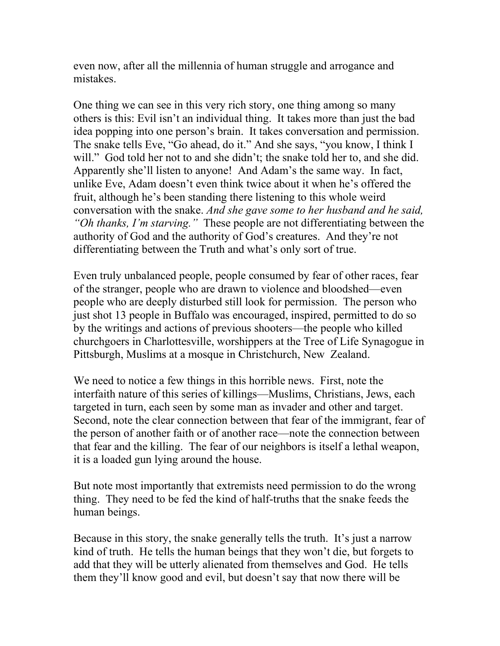even now, after all the millennia of human struggle and arrogance and mistakes.

One thing we can see in this very rich story, one thing among so many others is this: Evil isn't an individual thing. It takes more than just the bad idea popping into one person's brain. It takes conversation and permission. The snake tells Eve, "Go ahead, do it." And she says, "you know, I think I will." God told her not to and she didn't; the snake told her to, and she did. Apparently she'll listen to anyone! And Adam's the same way. In fact, unlike Eve, Adam doesn't even think twice about it when he's offered the fruit, although he's been standing there listening to this whole weird conversation with the snake. *And she gave some to her husband and he said, "Oh thanks, I'm starving."* These people are not differentiating between the authority of God and the authority of God's creatures. And they're not differentiating between the Truth and what's only sort of true.

Even truly unbalanced people, people consumed by fear of other races, fear of the stranger, people who are drawn to violence and bloodshed—even people who are deeply disturbed still look for permission. The person who just shot 13 people in Buffalo was encouraged, inspired, permitted to do so by the writings and actions of previous shooters—the people who killed churchgoers in Charlottesville, worshippers at the Tree of Life Synagogue in Pittsburgh, Muslims at a mosque in Christchurch, New Zealand.

We need to notice a few things in this horrible news. First, note the interfaith nature of this series of killings—Muslims, Christians, Jews, each targeted in turn, each seen by some man as invader and other and target. Second, note the clear connection between that fear of the immigrant, fear of the person of another faith or of another race—note the connection between that fear and the killing. The fear of our neighbors is itself a lethal weapon, it is a loaded gun lying around the house.

But note most importantly that extremists need permission to do the wrong thing. They need to be fed the kind of half-truths that the snake feeds the human beings.

Because in this story, the snake generally tells the truth. It's just a narrow kind of truth. He tells the human beings that they won't die, but forgets to add that they will be utterly alienated from themselves and God. He tells them they'll know good and evil, but doesn't say that now there will be